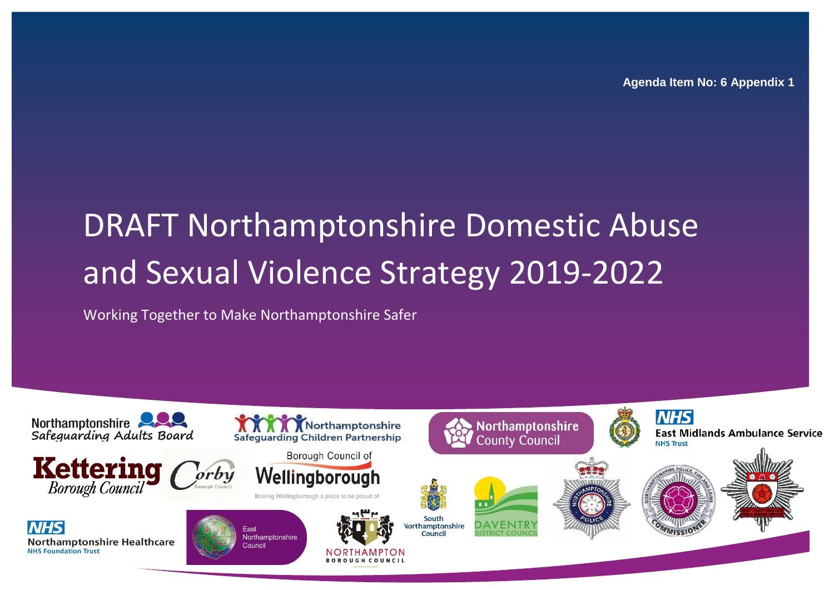**Agenda Item No: 6 Appendix 1**

# DRAFT Northamptonshire Domestic Abuse and Sexual Violence Strategy 2019-2022

### Working Together to Make Northamptonshire Safer

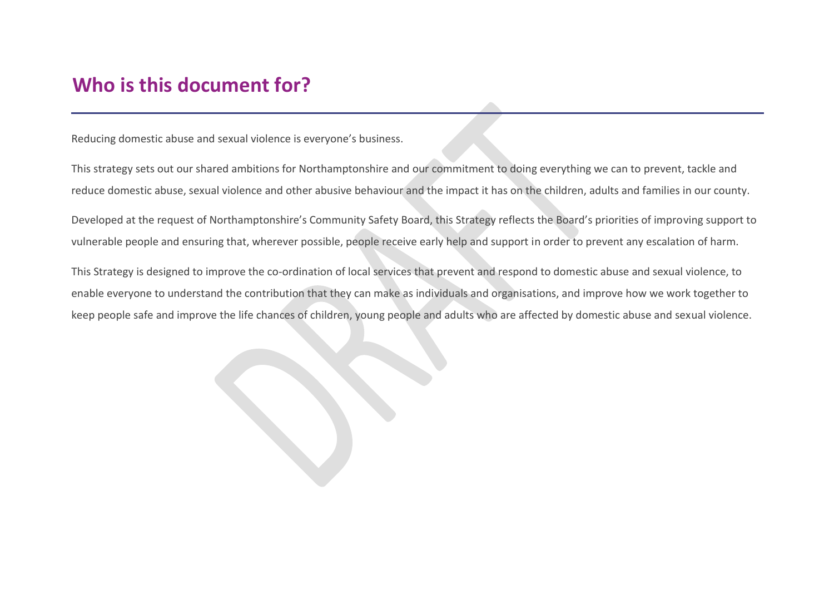## <span id="page-1-0"></span>**Who is this document for?**

Reducing domestic abuse and sexual violence is everyone's business.

This strategy sets out our shared ambitions for Northamptonshire and our commitment to doing everything we can to prevent, tackle and reduce domestic abuse, sexual violence and other abusive behaviour and the impact it has on the children, adults and families in our county.

Developed at the request of Northamptonshire's Community Safety Board, this Strategy reflects the Board's priorities of improving support to vulnerable people and ensuring that, wherever possible, people receive early help and support in order to prevent any escalation of harm.

This Strategy is designed to improve the co-ordination of local services that prevent and respond to domestic abuse and sexual violence, to enable everyone to understand the contribution that they can make as individuals and organisations, and improve how we work together to keep people safe and improve the life chances of children, young people and adults who are affected by domestic abuse and sexual violence.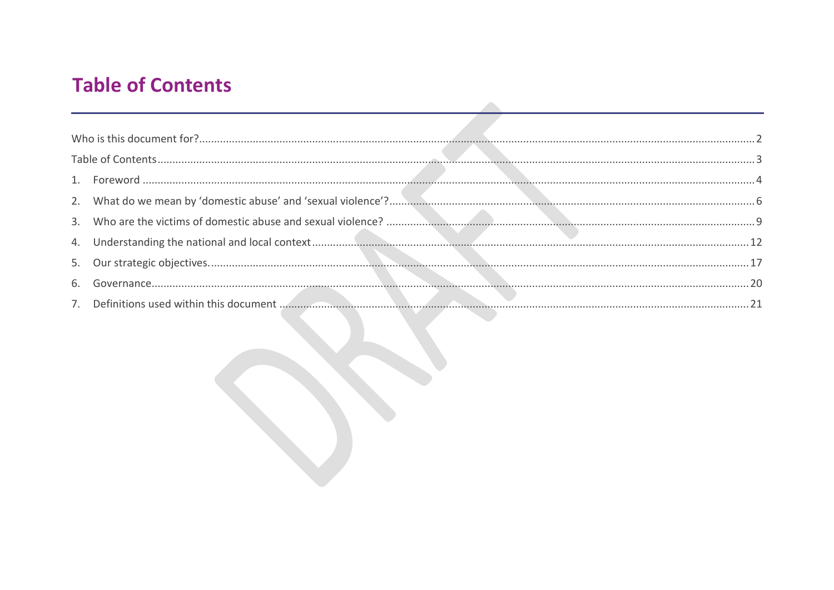# <span id="page-2-0"></span>**Table of Contents**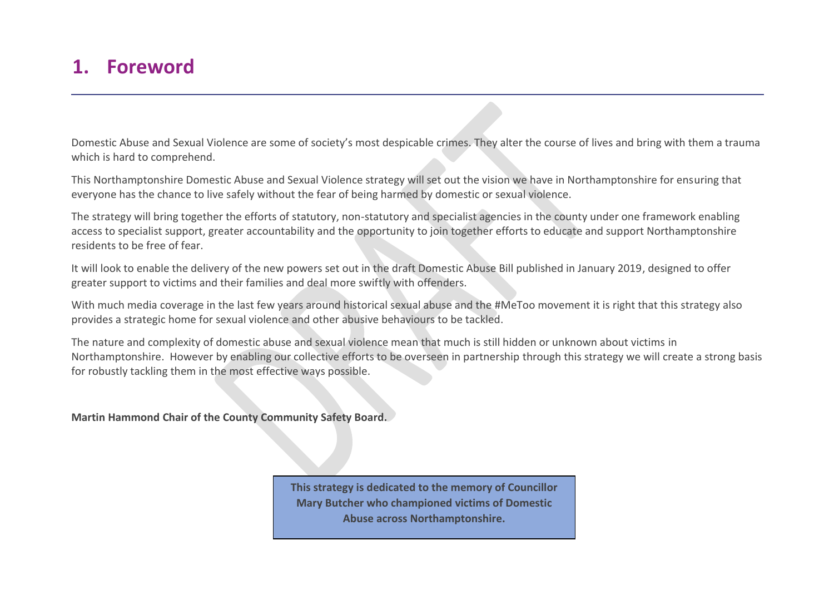### <span id="page-3-0"></span>**1. Foreword**

Domestic Abuse and Sexual Violence are some of society's most despicable crimes. They alter the course of lives and bring with them a trauma which is hard to comprehend.

This Northamptonshire Domestic Abuse and Sexual Violence strategy will set out the vision we have in Northamptonshire for ensuring that everyone has the chance to live safely without the fear of being harmed by domestic or sexual violence.

The strategy will bring together the efforts of statutory, non-statutory and specialist agencies in the county under one framework enabling access to specialist support, greater accountability and the opportunity to join together efforts to educate and support Northamptonshire residents to be free of fear.

It will look to enable the delivery of the new powers set out in the draft Domestic Abuse Bill published in January 2019, designed to offer greater support to victims and their families and deal more swiftly with offenders.

With much media coverage in the last few years around historical sexual abuse and the #MeToo movement it is right that this strategy also provides a strategic home for sexual violence and other abusive behaviours to be tackled.

The nature and complexity of domestic abuse and sexual violence mean that much is still hidden or unknown about victims in Northamptonshire. However by enabling our collective efforts to be overseen in partnership through this strategy we will create a strong basis for robustly tackling them in the most effective ways possible.

**Martin Hammond Chair of the County Community Safety Board.** 

**This strategy is dedicated to the memory of Councillor Mary Butcher who championed victims of Domestic Abuse across Northamptonshire.**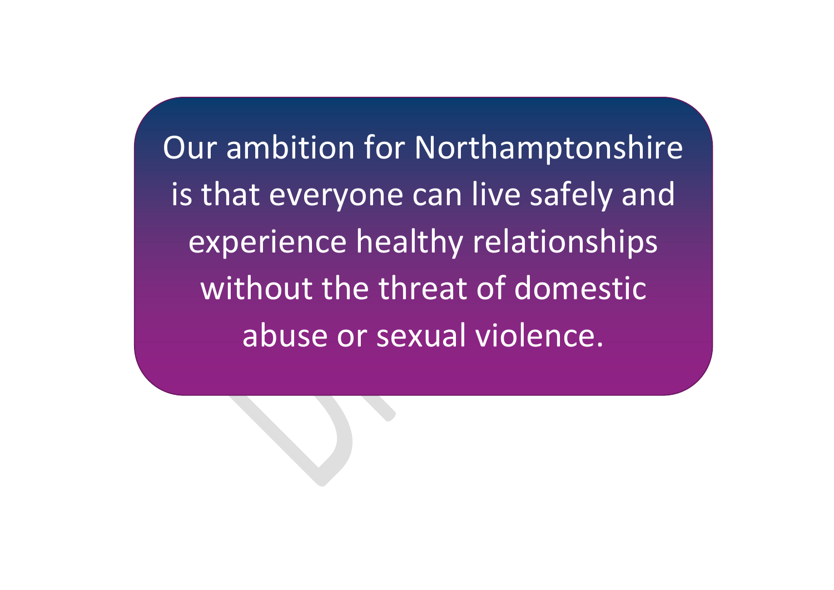Our ambition for Northamptonshire is that everyone can live safely and experience healthy relationships without the threat of domestic abuse or sexual violence.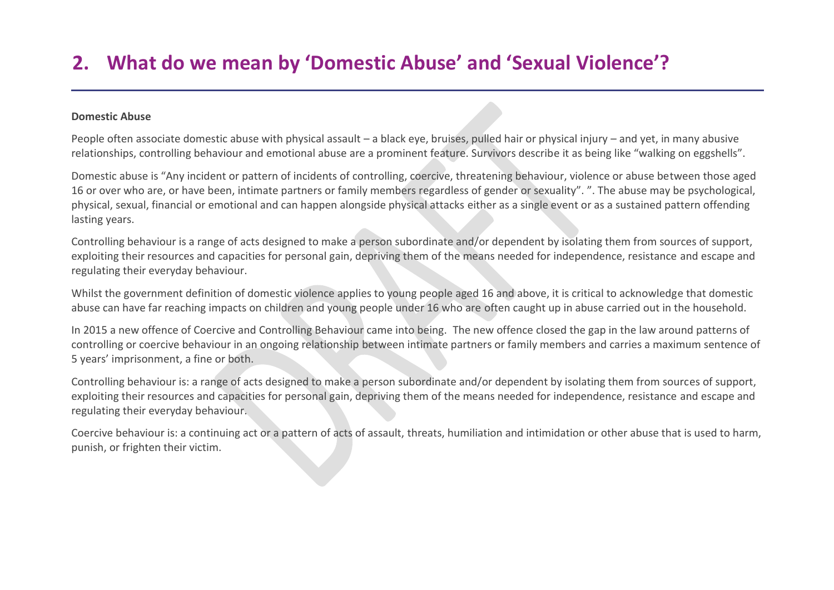# <span id="page-5-0"></span>**2. What do we mean by 'Domestic Abuse' and 'Sexual Violence'?**

#### **Domestic Abuse**

People often associate domestic abuse with physical assault – a black eye, bruises, pulled hair or physical injury – and yet, in many abusive relationships, controlling behaviour and emotional abuse are a prominent feature. Survivors describe it as being like "walking on eggshells".

Domestic abuse is "Any incident or pattern of incidents of controlling, coercive, threatening behaviour, violence or abuse between those aged 16 or over who are, or have been, intimate partners or family members regardless of gender or sexuality". ". The abuse may be psychological, physical, sexual, financial or emotional and can happen alongside physical attacks either as a single event or as a sustained pattern offending lasting years.

Controlling behaviour is a range of acts designed to make a person subordinate and/or dependent by isolating them from sources of support, exploiting their resources and capacities for personal gain, depriving them of the means needed for independence, resistance and escape and regulating their everyday behaviour.

Whilst the government definition of domestic violence applies to young people aged 16 and above, it is critical to acknowledge that domestic abuse can have far reaching impacts on children and young people under 16 who are often caught up in abuse carried out in the household.

In 2015 a new offence of Coercive and Controlling Behaviour came into being. The new offence closed the gap in the law around patterns of controlling or coercive behaviour in an ongoing relationship between intimate partners or family members and carries a maximum sentence of 5 years' imprisonment, a fine or both.

Controlling behaviour is: a range of acts designed to make a person subordinate and/or dependent by isolating them from sources of support, exploiting their resources and capacities for personal gain, depriving them of the means needed for independence, resistance and escape and regulating their everyday behaviour.

Coercive behaviour is: a continuing act or a pattern of acts of assault, threats, humiliation and intimidation or other abuse that is used to harm, punish, or frighten their victim.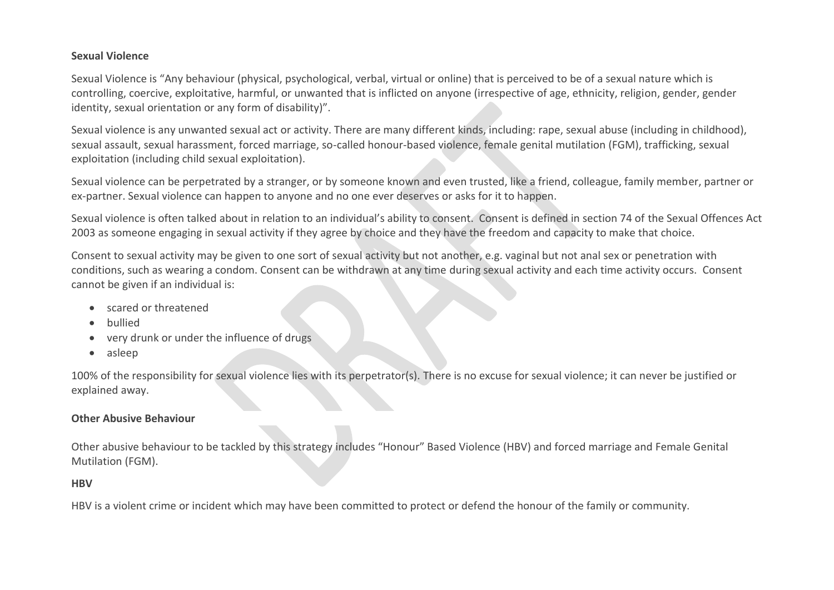#### **Sexual Violence**

Sexual Violence is "Any behaviour (physical, psychological, verbal, virtual or online) that is perceived to be of a sexual nature which is controlling, coercive, exploitative, harmful, or unwanted that is inflicted on anyone (irrespective of age, ethnicity, religion, gender, gender identity, sexual orientation or any form of disability)".

Sexual violence is any unwanted sexual act or activity. There are many different kinds, including: rape, sexual abuse (including in childhood), sexual assault, sexual harassment, forced marriage, so-called honour-based violence, female genital mutilation (FGM), trafficking, sexual exploitation (including child sexual exploitation).

Sexual violence can be perpetrated by a stranger, or by someone known and even trusted, like a friend, colleague, family member, partner or ex-partner. Sexual violence can happen to anyone and no one ever deserves or asks for it to happen.

Sexual violence is often talked about in relation to an individual's ability to consent. Consent is defined in section 74 of the Sexual Offences Act 2003 as someone engaging in sexual activity if they agree by choice and they have the freedom and capacity to make that choice.

Consent to sexual activity may be given to one sort of sexual activity but not another, e.g. vaginal but not anal sex or penetration with conditions, such as wearing a condom. Consent can be withdrawn at any time during sexual activity and each time activity occurs. Consent cannot be given if an individual is:

- scared or threatened
- bullied
- very drunk or under the influence of drugs
- asleep

100% of the responsibility for sexual violence lies with its perpetrator(s). There is no excuse for sexual violence; it can never be justified or explained away.

#### **Other Abusive Behaviour**

Other abusive behaviour to be tackled by this strategy includes "Honour" Based Violence (HBV) and forced marriage and Female Genital Mutilation (FGM).

#### **HBV**

HBV is a violent crime or incident which may have been committed to protect or defend the honour of the family or community.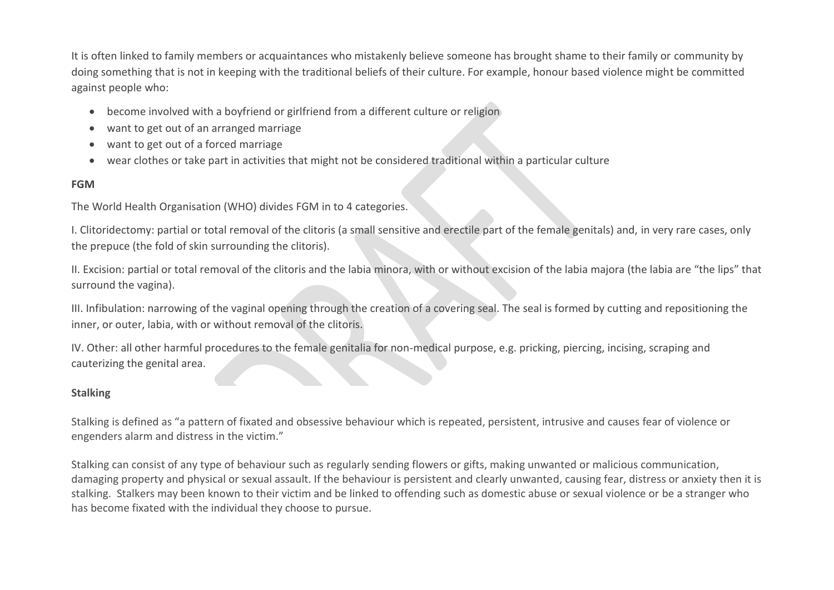It is often linked to family members or acquaintances who mistakenly believe someone has brought shame to their family or community by doing something that is not in keeping with the traditional beliefs of their culture. For example, honour based violence might be committed against people who:

- become involved with a boyfriend or girlfriend from a different culture or religion
- want to get out of an arranged marriage
- want to get out of a forced marriage
- wear clothes or take part in activities that might not be considered traditional within a particular culture

#### **FGM**

The World Health Organisation (WHO) divides FGM in to 4 categories.

I. Clitoridectomy: partial or total removal of the clitoris (a small sensitive and erectile part of the female genitals) and, in very rare cases, only the prepuce (the fold of skin surrounding the clitoris).

II. Excision: partial or total removal of the clitoris and the labia minora, with or without excision of the labia majora (the labia are "the lips" that surround the vagina).

III. Infibulation: narrowing of the vaginal opening through the creation of a covering seal. The seal is formed by cutting and repositioning the inner, or outer, labia, with or without removal of the clitoris.

IV. Other: all other harmful procedures to the female genitalia for non-medical purpose, e.g. pricking, piercing, incising, scraping and cauterizing the genital area.

#### **Stalking**

Stalking is defined as "a pattern of fixated and obsessive behaviour which is repeated, persistent, intrusive and causes fear of violence or engenders alarm and distress in the victim."

Stalking can consist of any type of behaviour such as regularly sending flowers or gifts, making unwanted or malicious communication, damaging property and physical or sexual assault. If the behaviour is persistent and clearly unwanted, causing fear, distress or anxiety then it is stalking. Stalkers may been known to their victim and be linked to offending such as domestic abuse or sexual violence or be a stranger who has become fixated with the individual they choose to pursue.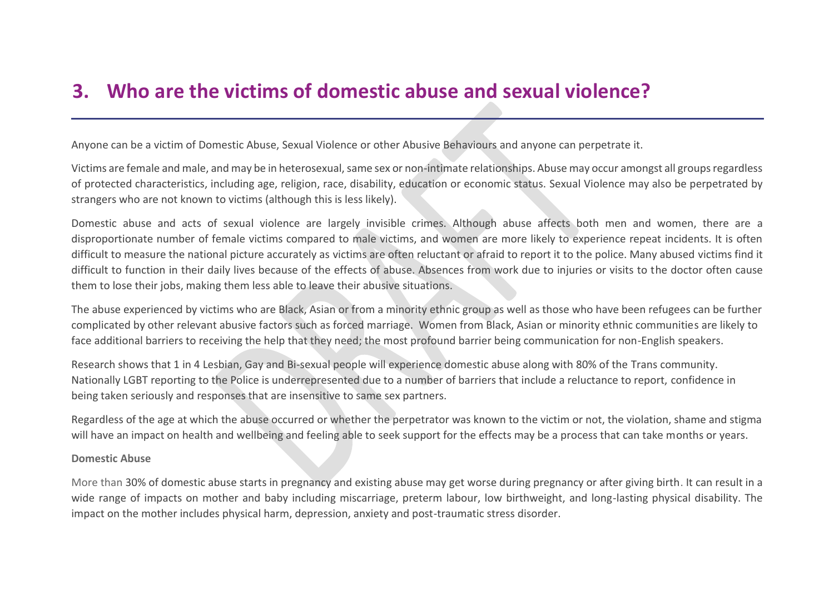## <span id="page-8-0"></span>**3. Who are the victims of domestic abuse and sexual violence?**

Anyone can be a victim of Domestic Abuse, Sexual Violence or other Abusive Behaviours and anyone can perpetrate it.

Victims are female and male, and may be in heterosexual, same sex or non-intimate relationships. Abuse may occur amongst all groups regardless of protected characteristics, including age, religion, race, disability, education or economic status. Sexual Violence may also be perpetrated by strangers who are not known to victims (although this is less likely).

Domestic abuse and acts of sexual violence are largely invisible crimes. Although abuse affects both men and women, there are a disproportionate number of female victims compared to male victims, and women are more likely to experience repeat incidents. It is often difficult to measure the national picture accurately as victims are often reluctant or afraid to report it to the police. Many abused victims find it difficult to function in their daily lives because of the effects of abuse. Absences from work due to injuries or visits to the doctor often cause them to lose their jobs, making them less able to leave their abusive situations.

The abuse experienced by victims who are Black, Asian or from a minority ethnic group as well as those who have been refugees can be further complicated by other relevant abusive factors such as forced marriage. Women from Black, Asian or minority ethnic communities are likely to face additional barriers to receiving the help that they need; the most profound barrier being communication for non-English speakers.

Research shows that 1 in 4 Lesbian, Gay and Bi-sexual people will experience domestic abuse along with 80% of the Trans community. Nationally LGBT reporting to the Police is underrepresented due to a number of barriers that include a reluctance to report, confidence in being taken seriously and responses that are insensitive to same sex partners.

Regardless of the age at which the abuse occurred or whether the perpetrator was known to the victim or not, the violation, shame and stigma will have an impact on health and wellbeing and feeling able to seek support for the effects may be a process that can take months or years.

#### **Domestic Abuse**

More than 30% of domestic abuse starts in pregnancy and existing abuse may get worse during pregnancy or after giving birth. It can result in a wide range of impacts on mother and baby including miscarriage, preterm labour, low birthweight, and long-lasting physical disability. The impact on the mother includes physical harm, depression, anxiety and post-traumatic stress disorder.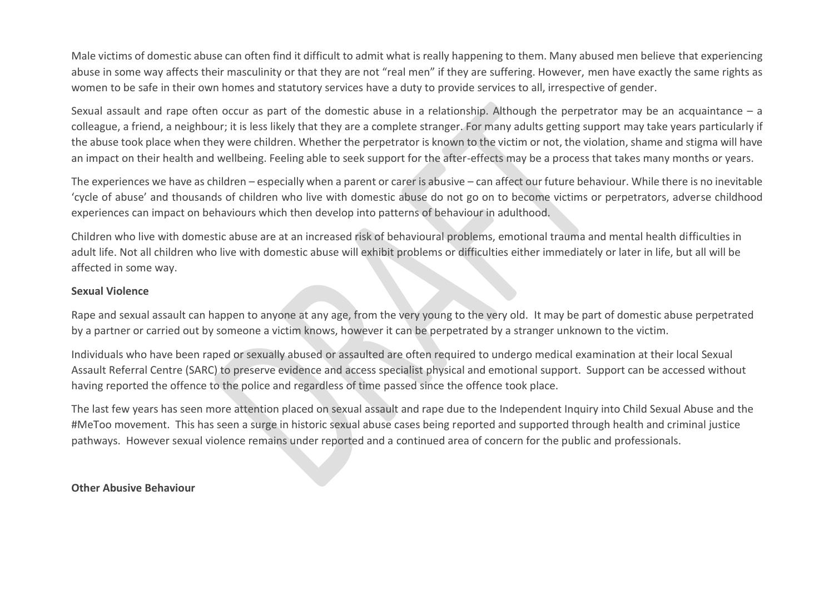Male victims of domestic abuse can often find it difficult to admit what is really happening to them. Many abused men believe that experiencing abuse in some way affects their masculinity or that they are not "real men" if they are suffering. However, men have exactly the same rights as women to be safe in their own homes and statutory services have a duty to provide services to all, irrespective of gender.

Sexual assault and rape often occur as part of the domestic abuse in a relationship. Although the perpetrator may be an acquaintance – a colleague, a friend, a neighbour; it is less likely that they are a complete stranger. For many adults getting support may take years particularly if the abuse took place when they were children. Whether the perpetrator is known to the victim or not, the violation, shame and stigma will have an impact on their health and wellbeing. Feeling able to seek support for the after-effects may be a process that takes many months or years.

The experiences we have as children – especially when a parent or carer is abusive – can affect our future behaviour. While there is no inevitable 'cycle of abuse' and thousands of children who live with domestic abuse do not go on to become victims or perpetrators, adverse childhood experiences can impact on behaviours which then develop into patterns of behaviour in adulthood.

Children who live with domestic abuse are at an increased risk of behavioural problems, emotional trauma and mental health difficulties in adult life. Not all children who live with domestic abuse will exhibit problems or difficulties either immediately or later in life, but all will be affected in some way.

#### **Sexual Violence**

Rape and sexual assault can happen to anyone at any age, from the very young to the very old. It may be part of domestic abuse perpetrated by a partner or carried out by someone a victim knows, however it can be perpetrated by a stranger unknown to the victim.

Individuals who have been raped or sexually abused or assaulted are often required to undergo medical examination at their local Sexual Assault Referral Centre (SARC) to preserve evidence and access specialist physical and emotional support. Support can be accessed without having reported the offence to the police and regardless of time passed since the offence took place.

The last few years has seen more attention placed on sexual assault and rape due to the Independent Inquiry into Child Sexual Abuse and the #MeToo movement. This has seen a surge in historic sexual abuse cases being reported and supported through health and criminal justice pathways. However sexual violence remains under reported and a continued area of concern for the public and professionals.

**Other Abusive Behaviour**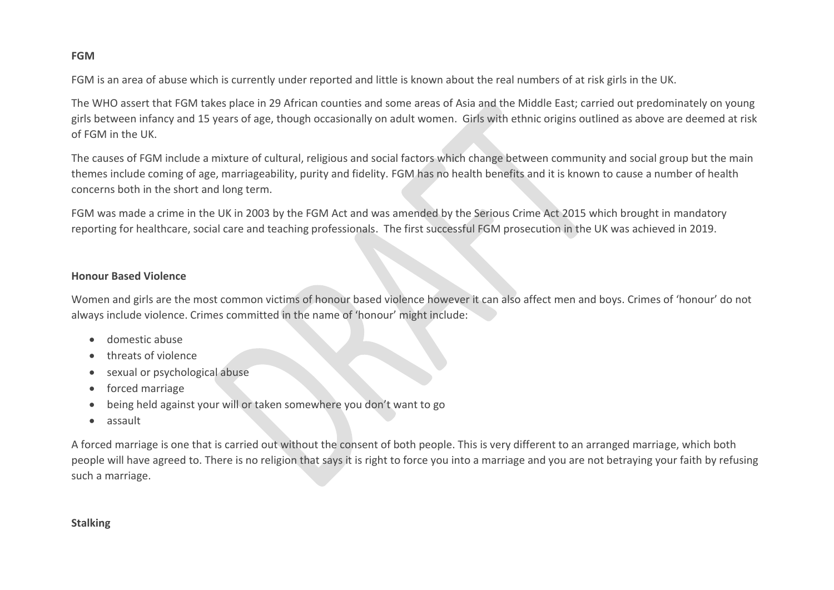#### **FGM**

FGM is an area of abuse which is currently under reported and little is known about the real numbers of at risk girls in the UK.

The WHO assert that FGM takes place in 29 African counties and some areas of Asia and the Middle East; carried out predominately on young girls between infancy and 15 years of age, though occasionally on adult women. Girls with ethnic origins outlined as above are deemed at risk of FGM in the UK.

The causes of FGM include a mixture of cultural, religious and social factors which change between community and social group but the main themes include coming of age, marriageability, purity and fidelity. FGM has no health benefits and it is known to cause a number of health concerns both in the short and long term.

FGM was made a crime in the UK in 2003 by the FGM Act and was amended by the Serious Crime Act 2015 which brought in mandatory reporting for healthcare, social care and teaching professionals. The first successful FGM prosecution in the UK was achieved in 2019.

#### **Honour Based Violence**

Women and girls are the most common victims of honour based violence however it can also affect men and boys. Crimes of 'honour' do not always include violence. Crimes committed in the name of 'honour' might include:

- domestic abuse
- threats of violence
- sexual or psychological abuse
- forced marriage
- being held against your will or taken somewhere you don't want to go
- assault

A forced marriage is one that is carried out without the consent of both people. This is very different to an arranged marriage, which both people will have agreed to. There is no religion that says it is right to force you into a marriage and you are not betraying your faith by refusing such a marriage.

#### **Stalking**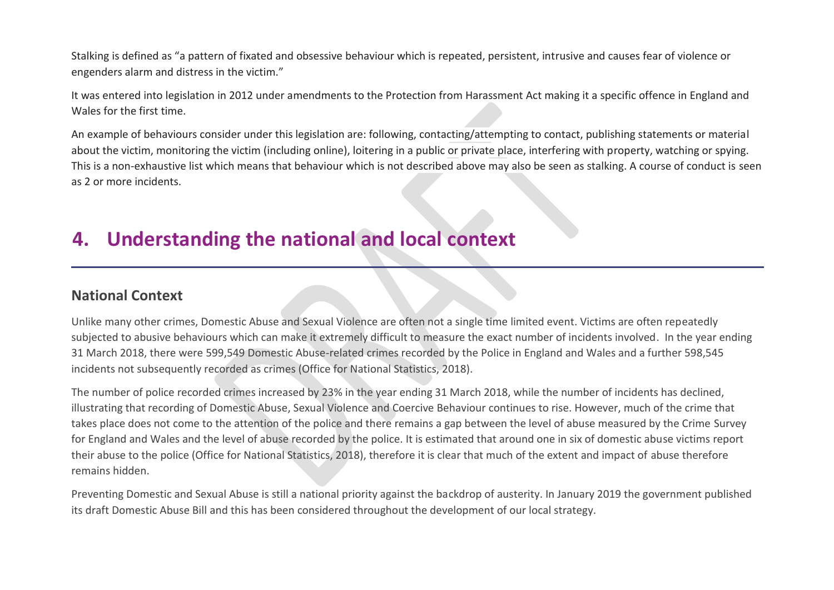Stalking is defined as "a pattern of fixated and obsessive behaviour which is repeated, persistent, intrusive and causes fear of violence or engenders alarm and distress in the victim."

It was entered into legislation in 2012 under amendments to the Protection from Harassment Act making it a specific offence in England and Wales for the first time.

An example of behaviours consider under this legislation are: following, contacting/attempting to contact, publishing statements or material about the victim, monitoring the victim (including online), loitering in a public or private place, interfering with property, watching or spying. This is a non-exhaustive list which means that behaviour which is not described above may also be seen as stalking. A course of conduct is seen as 2 or more incidents.

### <span id="page-11-0"></span>**4. Understanding the national and local context**

### **National Context**

Unlike many other crimes, Domestic Abuse and Sexual Violence are often not a single time limited event. Victims are often repeatedly subjected to abusive behaviours which can make it extremely difficult to measure the exact number of incidents involved. In the year ending 31 March 2018, there were 599,549 Domestic Abuse-related crimes recorded by the Police in England and Wales and a further 598,545 incidents not subsequently recorded as crimes (Office for National Statistics, 2018).

The number of police recorded crimes increased by 23% in the year ending 31 March 2018, while the number of incidents has declined, illustrating that recording of Domestic Abuse, Sexual Violence and Coercive Behaviour continues to rise. However, much of the crime that takes place does not come to the attention of the police and there remains a gap between the level of abuse measured by the Crime Survey for England and Wales and the level of abuse recorded by the police. It is estimated that around one in six of domestic abuse victims report their abuse to the police (Office for National Statistics, 2018), therefore it is clear that much of the extent and impact of abuse therefore remains hidden.

Preventing Domestic and Sexual Abuse is still a national priority against the backdrop of austerity. In January 2019 the government published its draft Domestic Abuse Bill and this has been considered throughout the development of our local strategy.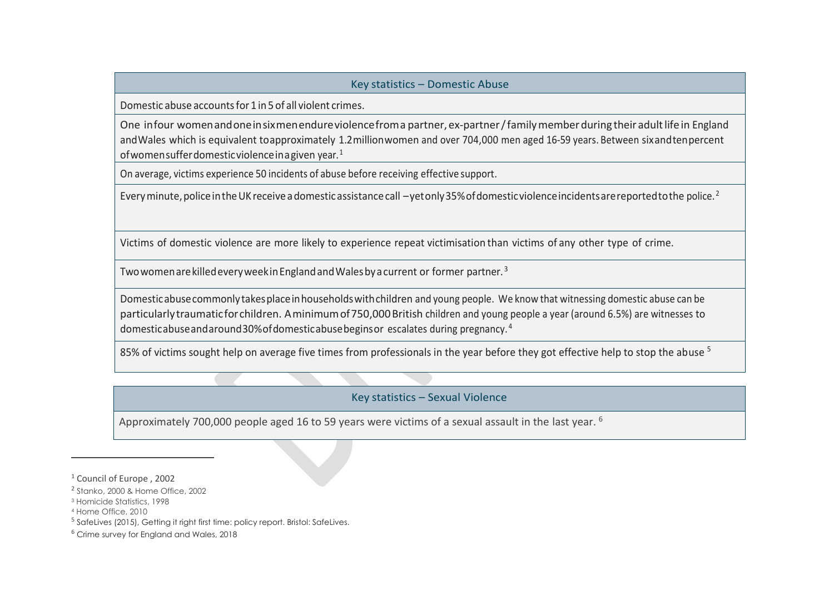#### Key statistics – Domestic Abuse

Domestic abuse accountsfor 1 in 5 of all violent crimes.

One infour womenandoneinsixmenendureviolencefroma partner, ex-partner/familymemberduring their adultlifein England andWales which is equivalent toapproximately 1.2millionwomen and over 704,000 men aged 16-59 years. Between sixandtenpercent ofwomensufferdomesticviolenceinagiven year.<sup>1</sup>

On average, victims experience 50 incidents of abuse before receiving effective support.

Every minute, police in the UK receive a domestic assistance call –vetonly 35% of domestic violence incidents are reported to the police. <sup>2</sup>

Victims of domestic violence are more likely to experience repeat victimisation than victims of any other type of crime.

Two women are killed every week in England and Wales by a current or former partner.<sup>3</sup>

todomesticabuseandaround30%ofdomesticabusebeginsor escalates during pregnancy.(4)

Domesticabusecommonlytakesplaceinhouseholdswithchildren and young people. We know that witnessing domestic abuse can be particularlytraumaticforchildren. Aminimumof750,000British children and young people a year (around 6.5%) are witnesses to domesticabuseandaround30%ofdomesticabusebeginsor escalates during pregnancy. <sup>4</sup>

85% of victims sought help on average five times from professionals in the year before they got effective help to stop the abuse <sup>5</sup>

#### Key statistics – Sexual Violence

Approximately 700,000 people aged 16 to 59 years were victims of a sexual assault in the last year. <sup>6</sup>

- <sup>3</sup> Homicide Statistics, 1998
- <sup>4</sup> Home Office, 2010

 $\overline{a}$ 

<sup>5</sup> SafeLives (2015), Getting it right first time: policy report. Bristol: SafeLives.

<sup>1</sup> Council of Europe , 2002

<sup>&</sup>lt;sup>2</sup> Stanko, 2000 & Home Office, 2002

<sup>6</sup> Crime survey for England and Wales, 2018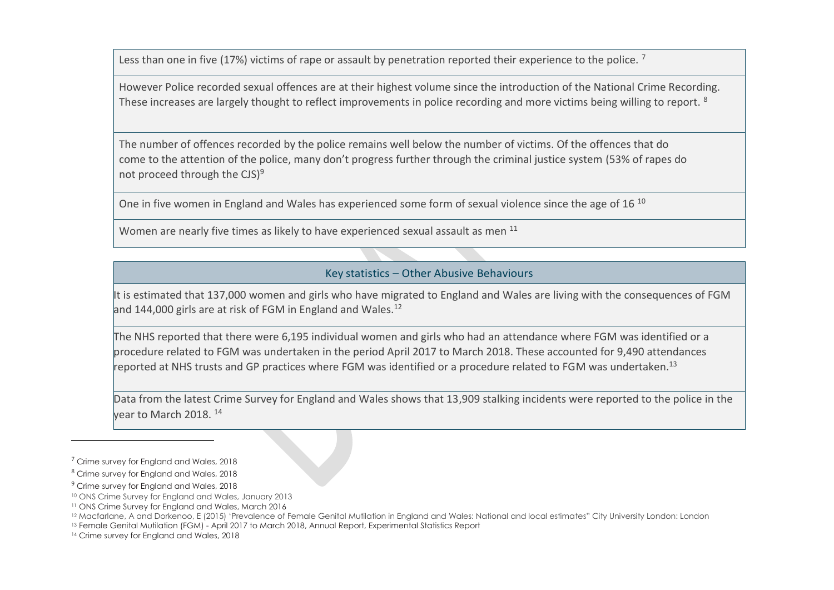Less than one in five (17%) victims of rape or assault by penetration reported their experience to the police.<sup>7</sup>

However Police recorded sexual offences are at their highest volume since the introduction of the National Crime Recording. These increases are largely thought to reflect improvements in police recording and more victims being willing to report. <sup>8</sup>

The number of offences recorded by the police remains well below the number of victims. Of the offences that do come to the attention of the police, many don't progress further through the criminal justice system (53% of rapes do not proceed through the  $CJS$ <sup>9</sup>

One in five women in England and Wales has experienced some form of sexual violence since the age of 16<sup>10</sup>

Women are nearly five times as likely to have experienced sexual assault as men <sup>11</sup>

#### Key statistics – Other Abusive Behaviours

It is estimated that 137,000 women and girls who have migrated to England and Wales are living with the consequences of FGM and 144,000 girls are at risk of FGM in England and Wales. $12$ 

The NHS reported that there were 6,195 individual women and girls who had an attendance where FGM was identified or a procedure related to FGM was undertaken in the period April 2017 to March 2018. These accounted for 9,490 attendances reported at NHS trusts and GP practices where FGM was identified or a procedure related to FGM was undertaken.<sup>13</sup>

Data from the latest Crime Survey for England and Wales shows that 13,909 stalking incidents were reported to the police in the year to March 2018. <sup>14</sup>

 $\overline{a}$ 

<sup>13</sup> Female Genital Mutilation (FGM) - April 2017 to March 2018, Annual Report, Experimental Statistics Report

<sup>&</sup>lt;sup>7</sup> Crime survey for England and Wales, 2018

<sup>8</sup> Crime survey for England and Wales, 2018

<sup>&</sup>lt;sup>9</sup> Crime survey for England and Wales, 2018

<sup>10</sup> ONS Crime Survey for England and Wales, January 2013

<sup>11</sup> ONS Crime Survey for England and Wales, March 2016

<sup>&</sup>lt;sup>12</sup> Macfarlane, A and Dorkenoo, E (2015) 'Prevalence of Female Genital Mutilation in England and Wales: National and local estimates" City University London: London

<sup>14</sup> Crime survey for England and Wales, 2018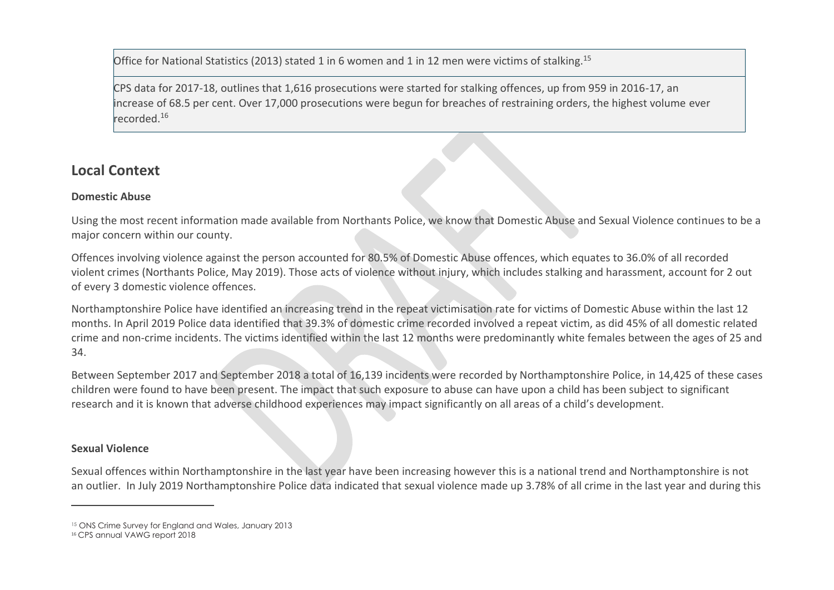Office for National Statistics (2013) stated 1 in 6 women and 1 in 12 men were victims of stalking.<sup>15</sup>

CPS data for 2017-18, outlines that 1,616 prosecutions were started for stalking offences, up from 959 in 2016-17, an increase of 68.5 per cent. Over 17,000 prosecutions were begun for breaches of restraining orders, the highest volume ever recorded.<sup>16</sup>

### **Local Context**

#### **Domestic Abuse**

Using the most recent information made available from Northants Police, we know that Domestic Abuse and Sexual Violence continues to be a major concern within our county.

Offences involving violence against the person accounted for 80.5% of Domestic Abuse offences, which equates to 36.0% of all recorded violent crimes (Northants Police, May 2019). Those acts of violence without injury, which includes stalking and harassment, account for 2 out of every 3 domestic violence offences.

Northamptonshire Police have identified an increasing trend in the repeat victimisation rate for victims of Domestic Abuse within the last 12 months. In April 2019 Police data identified that 39.3% of domestic crime recorded involved a repeat victim, as did 45% of all domestic related crime and non-crime incidents. The victims identified within the last 12 months were predominantly white females between the ages of 25 and 34.

Between September 2017 and September 2018 a total of 16,139 incidents were recorded by Northamptonshire Police, in 14,425 of these cases children were found to have been present. The impact that such exposure to abuse can have upon a child has been subject to significant research and it is known that adverse childhood experiences may impact significantly on all areas of a child's development.

#### **Sexual Violence**

 $\overline{a}$ 

Sexual offences within Northamptonshire in the last year have been increasing however this is a national trend and Northamptonshire is not an outlier. In July 2019 Northamptonshire Police data indicated that sexual violence made up 3.78% of all crime in the last year and during this

<sup>&</sup>lt;sup>15</sup> ONS Crime Survey for England and Wales, January 2013

<sup>&</sup>lt;sup>16</sup> CPS annual VAWG report 2018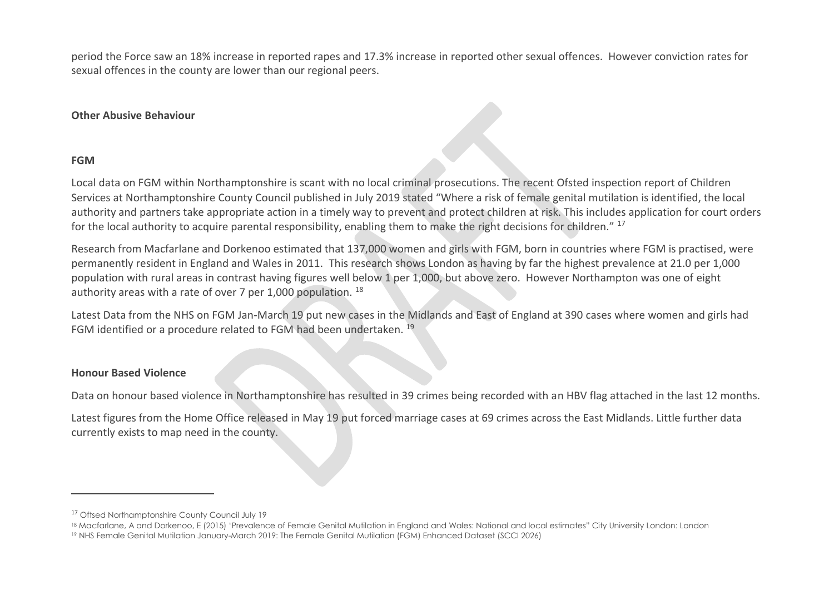period the Force saw an 18% increase in reported rapes and 17.3% increase in reported other sexual offences. However conviction rates for sexual offences in the county are lower than our regional peers.

#### **Other Abusive Behaviour**

#### **FGM**

 $\overline{a}$ 

Local data on FGM within Northamptonshire is scant with no local criminal prosecutions. The recent Ofsted inspection report of Children Services at Northamptonshire County Council published in July 2019 stated "Where a risk of female genital mutilation is identified, the local authority and partners take appropriate action in a timely way to prevent and protect children at risk. This includes application for court orders for the local authority to acquire parental responsibility, enabling them to make the right decisions for children." <sup>17</sup>

Research from Macfarlane and Dorkenoo estimated that 137,000 women and girls with FGM, born in countries where FGM is practised, were permanently resident in England and Wales in 2011. This research shows London as having by far the highest prevalence at 21.0 per 1,000 population with rural areas in contrast having figures well below 1 per 1,000, but above zero. However Northampton was one of eight authority areas with a rate of over 7 per 1,000 population.  $^{18}$ 

Latest Data from the NHS on FGM Jan-March 19 put new cases in the Midlands and East of England at 390 cases where women and girls had FGM identified or a procedure related to FGM had been undertaken. <sup>19</sup>

#### **Honour Based Violence**

Data on honour based violence in Northamptonshire has resulted in 39 crimes being recorded with an HBV flag attached in the last 12 months.

Latest figures from the Home Office released in May 19 put forced marriage cases at 69 crimes across the East Midlands. Little further data currently exists to map need in the county.

<sup>&</sup>lt;sup>17</sup> Oftsed Northamptonshire County Council July 19

<sup>&</sup>lt;sup>18</sup> Macfarlane, A and Dorkenoo, E (2015) 'Prevalence of Female Genital Mutilation in England and Wales: National and local estimates" City University London: London

<sup>19</sup> NHS Female Genital Mutilation January-March 2019: The Female Genital Mutilation (FGM) Enhanced Dataset (SCCI 2026)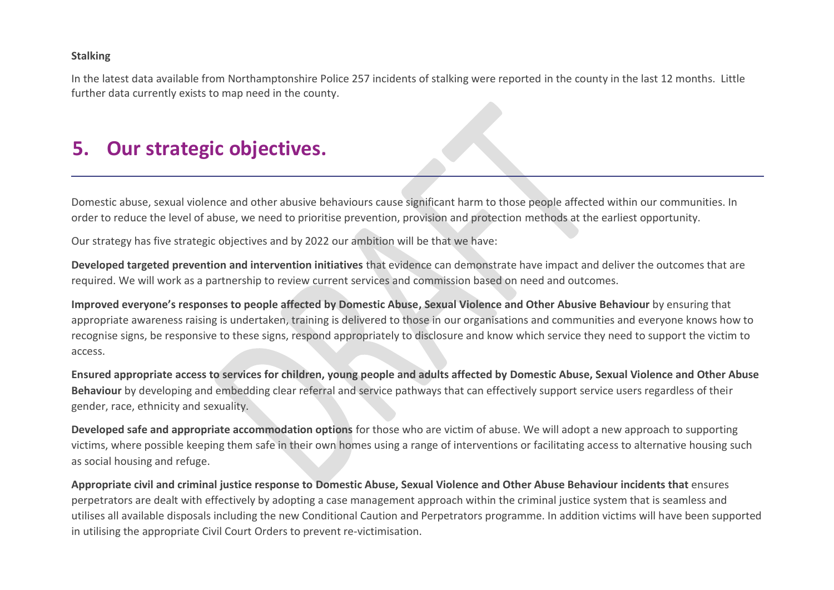#### **Stalking**

In the latest data available from Northamptonshire Police 257 incidents of stalking were reported in the county in the last 12 months. Little further data currently exists to map need in the county.

### <span id="page-16-0"></span>**5. Our strategic objectives.**

Domestic abuse, sexual violence and other abusive behaviours cause significant harm to those people affected within our communities. In order to reduce the level of abuse, we need to prioritise prevention, provision and protection methods at the earliest opportunity.

Our strategy has five strategic objectives and by 2022 our ambition will be that we have:

**Developed targeted prevention and intervention initiatives** that evidence can demonstrate have impact and deliver the outcomes that are required. We will work as a partnership to review current services and commission based on need and outcomes.

**Improved everyone's responses to people affected by Domestic Abuse, Sexual Violence and Other Abusive Behaviour** by ensuring that appropriate awareness raising is undertaken, training is delivered to those in our organisations and communities and everyone knows how to recognise signs, be responsive to these signs, respond appropriately to disclosure and know which service they need to support the victim to access.

**Ensured appropriate access to services for children, young people and adults affected by Domestic Abuse, Sexual Violence and Other Abuse Behaviour** by developing and embedding clear referral and service pathways that can effectively support service users regardless of their gender, race, ethnicity and sexuality.

**Developed safe and appropriate accommodation options** for those who are victim of abuse. We will adopt a new approach to supporting victims, where possible keeping them safe in their own homes using a range of interventions or facilitating access to alternative housing such as social housing and refuge.

**Appropriate civil and criminal justice response to Domestic Abuse, Sexual Violence and Other Abuse Behaviour incidents that** ensures perpetrators are dealt with effectively by adopting a case management approach within the criminal justice system that is seamless and utilises all available disposals including the new Conditional Caution and Perpetrators programme. In addition victims will have been supported in utilising the appropriate Civil Court Orders to prevent re-victimisation.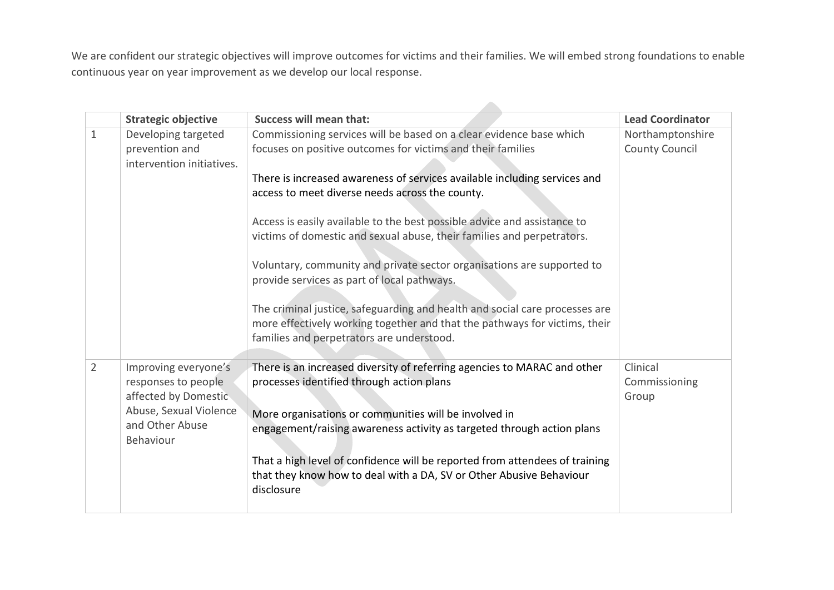We are confident our strategic objectives will improve outcomes for victims and their families. We will embed strong foundations to enable continuous year on year improvement as we develop our local response.

|                | <b>Strategic objective</b>                                          | <b>Success will mean that:</b>                                                                                                                                                                         | <b>Lead Coordinator</b>                   |
|----------------|---------------------------------------------------------------------|--------------------------------------------------------------------------------------------------------------------------------------------------------------------------------------------------------|-------------------------------------------|
| $\mathbf{1}$   | Developing targeted<br>prevention and<br>intervention initiatives.  | Commissioning services will be based on a clear evidence base which<br>focuses on positive outcomes for victims and their families                                                                     | Northamptonshire<br><b>County Council</b> |
|                |                                                                     | There is increased awareness of services available including services and<br>access to meet diverse needs across the county.                                                                           |                                           |
|                |                                                                     | Access is easily available to the best possible advice and assistance to<br>victims of domestic and sexual abuse, their families and perpetrators.                                                     |                                           |
|                |                                                                     | Voluntary, community and private sector organisations are supported to<br>provide services as part of local pathways.                                                                                  |                                           |
|                |                                                                     | The criminal justice, safeguarding and health and social care processes are<br>more effectively working together and that the pathways for victims, their<br>families and perpetrators are understood. |                                           |
| $\overline{2}$ | Improving everyone's<br>responses to people<br>affected by Domestic | There is an increased diversity of referring agencies to MARAC and other<br>processes identified through action plans                                                                                  | Clinical<br>Commissioning<br>Group        |
|                | Abuse, Sexual Violence<br>and Other Abuse<br>Behaviour              | More organisations or communities will be involved in<br>engagement/raising awareness activity as targeted through action plans                                                                        |                                           |
|                |                                                                     | That a high level of confidence will be reported from attendees of training<br>that they know how to deal with a DA, SV or Other Abusive Behaviour<br>disclosure                                       |                                           |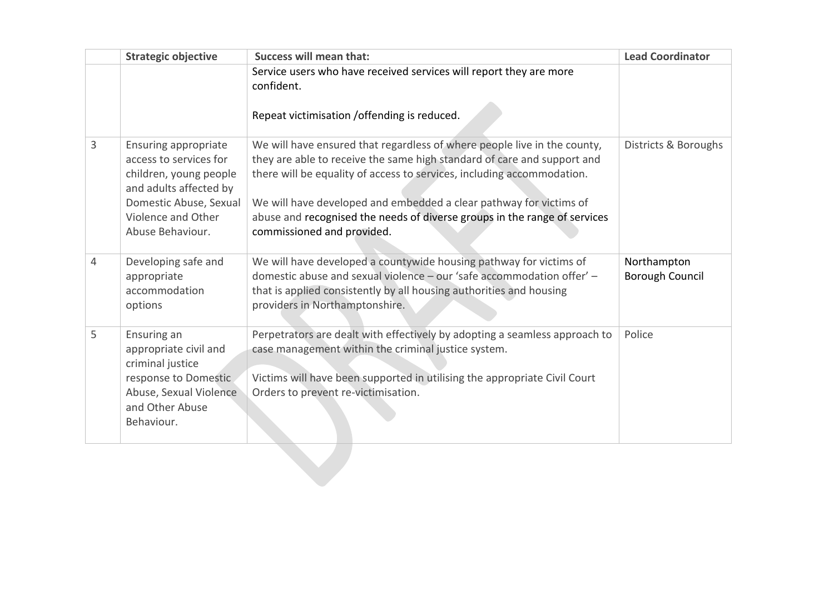|   | <b>Strategic objective</b>                                                                                                                                                    | <b>Success will mean that:</b>                                                                                                                                                                                                                                                                                                                                                                                 | <b>Lead Coordinator</b>               |
|---|-------------------------------------------------------------------------------------------------------------------------------------------------------------------------------|----------------------------------------------------------------------------------------------------------------------------------------------------------------------------------------------------------------------------------------------------------------------------------------------------------------------------------------------------------------------------------------------------------------|---------------------------------------|
|   |                                                                                                                                                                               | Service users who have received services will report they are more<br>confident.                                                                                                                                                                                                                                                                                                                               |                                       |
|   |                                                                                                                                                                               | Repeat victimisation / offending is reduced.                                                                                                                                                                                                                                                                                                                                                                   |                                       |
| 3 | <b>Ensuring appropriate</b><br>access to services for<br>children, young people<br>and adults affected by<br>Domestic Abuse, Sexual<br>Violence and Other<br>Abuse Behaviour. | We will have ensured that regardless of where people live in the county,<br>they are able to receive the same high standard of care and support and<br>there will be equality of access to services, including accommodation.<br>We will have developed and embedded a clear pathway for victims of<br>abuse and recognised the needs of diverse groups in the range of services<br>commissioned and provided. | Districts & Boroughs                  |
| 4 | Developing safe and<br>appropriate<br>accommodation<br>options                                                                                                                | We will have developed a countywide housing pathway for victims of<br>domestic abuse and sexual violence - our 'safe accommodation offer' -<br>that is applied consistently by all housing authorities and housing<br>providers in Northamptonshire.                                                                                                                                                           | Northampton<br><b>Borough Council</b> |
| 5 | Ensuring an<br>appropriate civil and<br>criminal justice<br>response to Domestic<br>Abuse, Sexual Violence<br>and Other Abuse<br>Behaviour.                                   | Perpetrators are dealt with effectively by adopting a seamless approach to<br>case management within the criminal justice system.<br>Victims will have been supported in utilising the appropriate Civil Court<br>Orders to prevent re-victimisation.                                                                                                                                                          | Police                                |
|   |                                                                                                                                                                               |                                                                                                                                                                                                                                                                                                                                                                                                                |                                       |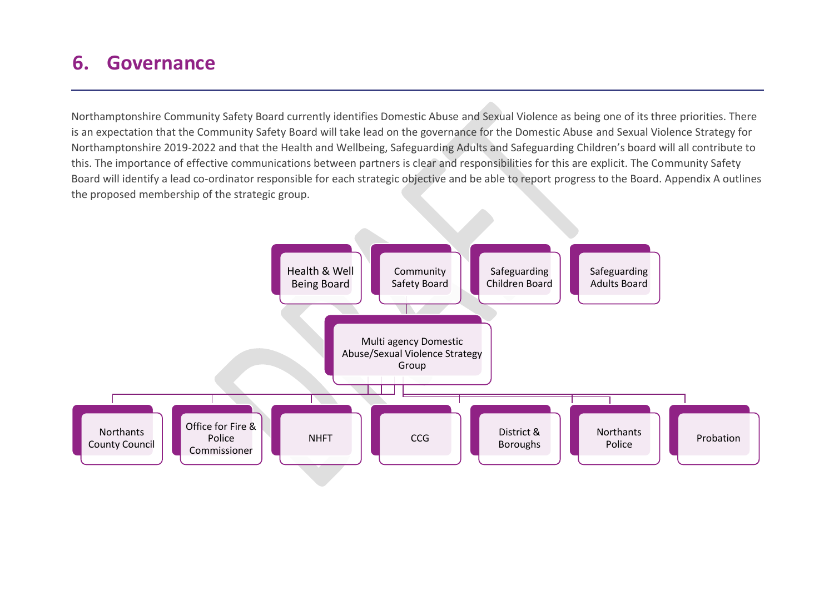### <span id="page-19-0"></span>**6. Governance**

Northamptonshire Community Safety Board currently identifies Domestic Abuse and Sexual Violence as being one of its three priorities. There is an expectation that the Community Safety Board will take lead on the governance for the Domestic Abuse and Sexual Violence Strategy for Northamptonshire 2019-2022 and that the Health and Wellbeing, Safeguarding Adults and Safeguarding Children's board will all contribute to this. The importance of effective communications between partners is clear and responsibilities for this are explicit. The Community Safety Board will identify a lead co-ordinator responsible for each strategic objective and be able to report progress to the Board. Appendix A outlines the proposed membership of the strategic group.

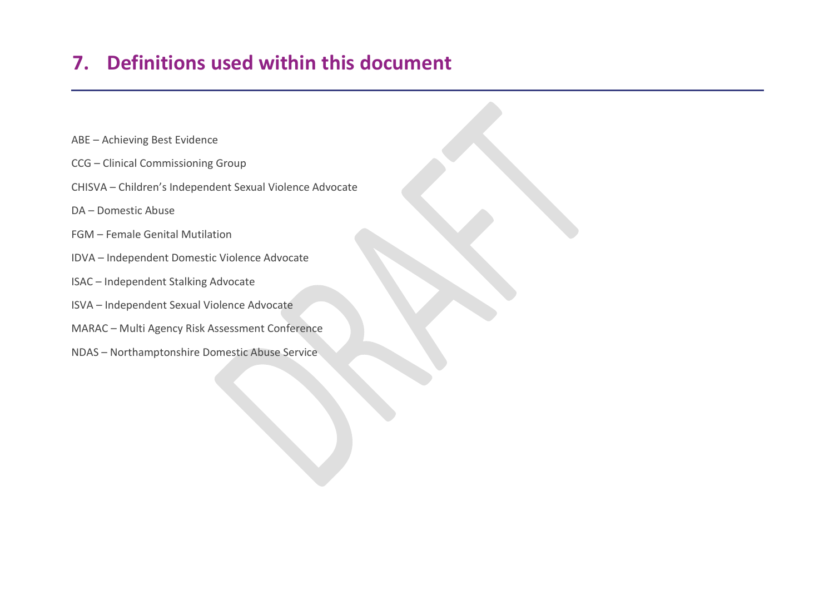# <span id="page-20-0"></span>**7. Definitions used within this document**

- ABE Achieving Best Evidence
- CCG Clinical Commissioning Group
- CHISVA Children's Independent Sexual Violence Advocate
- DA Domestic Abuse
- FGM Female Genital Mutilation
- IDVA Independent Domestic Violence Advocate
- ISAC Independent Stalking Advocate
- ISVA Independent Sexual Violence Advocate
- MARAC Multi Agency Risk Assessment Conference
- NDAS Northamptonshire Domestic Abuse Service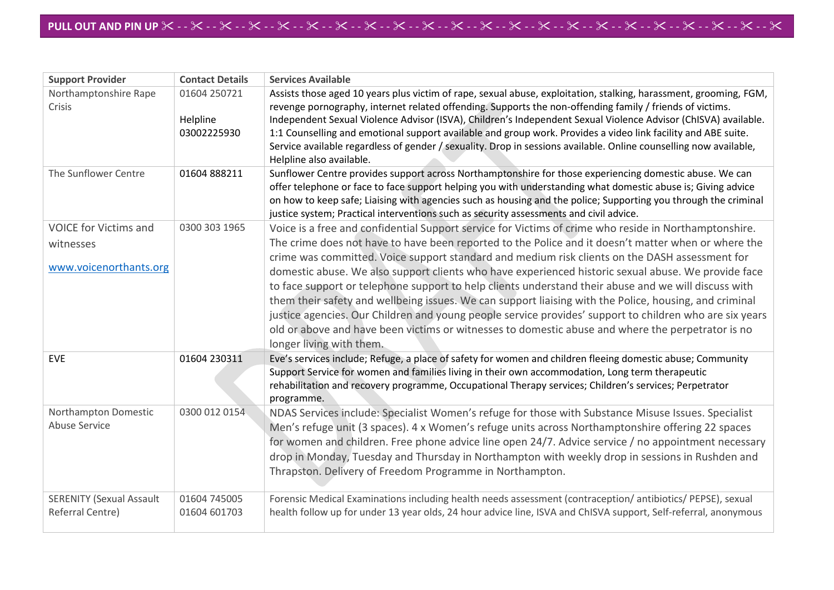-**APPENDIX D**

| <b>Support Provider</b>                             | <b>Contact Details</b>                  | <b>Services Available</b>                                                                                                                                                                                                                                                                                                                                                                                                                                                                                                                                                                                         |
|-----------------------------------------------------|-----------------------------------------|-------------------------------------------------------------------------------------------------------------------------------------------------------------------------------------------------------------------------------------------------------------------------------------------------------------------------------------------------------------------------------------------------------------------------------------------------------------------------------------------------------------------------------------------------------------------------------------------------------------------|
| Northamptonshire Rape<br>Crisis                     | 01604 250721<br>Helpline<br>03002225930 | Assists those aged 10 years plus victim of rape, sexual abuse, exploitation, stalking, harassment, grooming, FGM,<br>revenge pornography, internet related offending. Supports the non-offending family / friends of victims.<br>Independent Sexual Violence Advisor (ISVA), Children's Independent Sexual Violence Advisor (ChISVA) available.<br>1:1 Counselling and emotional support available and group work. Provides a video link facility and ABE suite.<br>Service available regardless of gender / sexuality. Drop in sessions available. Online counselling now available,<br>Helpline also available. |
| The Sunflower Centre                                | 01604888211                             | Sunflower Centre provides support across Northamptonshire for those experiencing domestic abuse. We can<br>offer telephone or face to face support helping you with understanding what domestic abuse is; Giving advice<br>on how to keep safe; Liaising with agencies such as housing and the police; Supporting you through the criminal<br>justice system; Practical interventions such as security assessments and civil advice.                                                                                                                                                                              |
| <b>VOICE for Victims and</b>                        | 0300 303 1965                           | Voice is a free and confidential Support service for Victims of crime who reside in Northamptonshire.                                                                                                                                                                                                                                                                                                                                                                                                                                                                                                             |
| witnesses                                           |                                         | The crime does not have to have been reported to the Police and it doesn't matter when or where the<br>crime was committed. Voice support standard and medium risk clients on the DASH assessment for                                                                                                                                                                                                                                                                                                                                                                                                             |
| www.voicenorthants.org                              |                                         | domestic abuse. We also support clients who have experienced historic sexual abuse. We provide face<br>to face support or telephone support to help clients understand their abuse and we will discuss with<br>them their safety and wellbeing issues. We can support liaising with the Police, housing, and criminal<br>justice agencies. Our Children and young people service provides' support to children who are six years<br>old or above and have been victims or witnesses to domestic abuse and where the perpetrator is no<br>longer living with them.                                                 |
| <b>EVE</b>                                          | 01604 230311                            | Eve's services include; Refuge, a place of safety for women and children fleeing domestic abuse; Community<br>Support Service for women and families living in their own accommodation, Long term therapeutic<br>rehabilitation and recovery programme, Occupational Therapy services; Children's services; Perpetrator<br>programme.                                                                                                                                                                                                                                                                             |
| Northampton Domestic<br><b>Abuse Service</b>        | 0300 012 0154                           | NDAS Services include: Specialist Women's refuge for those with Substance Misuse Issues. Specialist<br>Men's refuge unit (3 spaces). 4 x Women's refuge units across Northamptonshire offering 22 spaces<br>for women and children. Free phone advice line open 24/7. Advice service / no appointment necessary<br>drop in Monday, Tuesday and Thursday in Northampton with weekly drop in sessions in Rushden and<br>Thrapston. Delivery of Freedom Programme in Northampton.                                                                                                                                    |
| <b>SERENITY (Sexual Assault</b><br>Referral Centre) | 01604 745005<br>01604 601703            | Forensic Medical Examinations including health needs assessment (contraception/antibiotics/PEPSE), sexual<br>health follow up for under 13 year olds, 24 hour advice line, ISVA and ChISVA support, Self-referral, anonymous                                                                                                                                                                                                                                                                                                                                                                                      |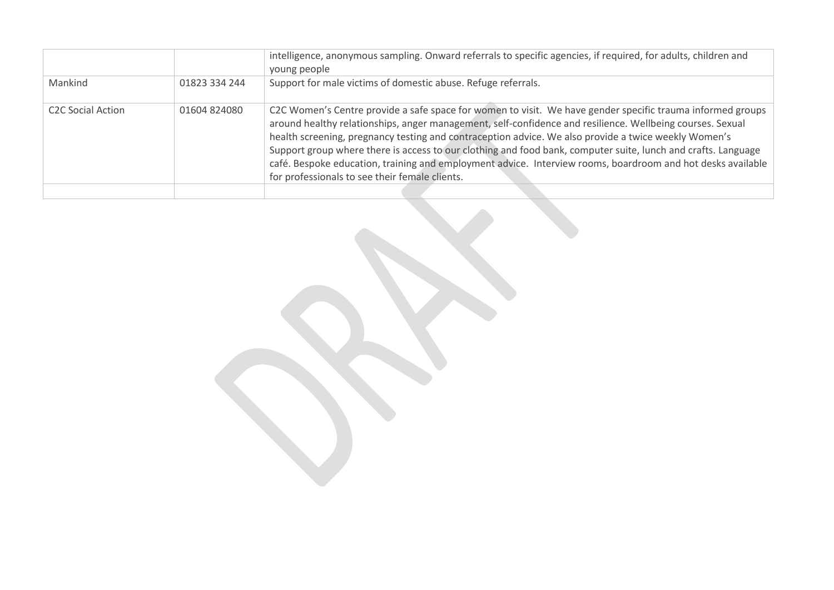|                                     |               | intelligence, anonymous sampling. Onward referrals to specific agencies, if required, for adults, children and<br>young people                                                                                                                                                                                                                                                                                                                                                                                                                                                                                    |
|-------------------------------------|---------------|-------------------------------------------------------------------------------------------------------------------------------------------------------------------------------------------------------------------------------------------------------------------------------------------------------------------------------------------------------------------------------------------------------------------------------------------------------------------------------------------------------------------------------------------------------------------------------------------------------------------|
| Mankind                             | 01823 334 244 | Support for male victims of domestic abuse. Refuge referrals.                                                                                                                                                                                                                                                                                                                                                                                                                                                                                                                                                     |
| <b>C<sub>2</sub>C</b> Social Action | 01604824080   | C2C Women's Centre provide a safe space for women to visit. We have gender specific trauma informed groups<br>around healthy relationships, anger management, self-confidence and resilience. Wellbeing courses. Sexual<br>health screening, pregnancy testing and contraception advice. We also provide a twice weekly Women's<br>Support group where there is access to our clothing and food bank, computer suite, lunch and crafts. Language<br>café. Bespoke education, training and employment advice. Interview rooms, boardroom and hot desks available<br>for professionals to see their female clients. |
|                                     |               |                                                                                                                                                                                                                                                                                                                                                                                                                                                                                                                                                                                                                   |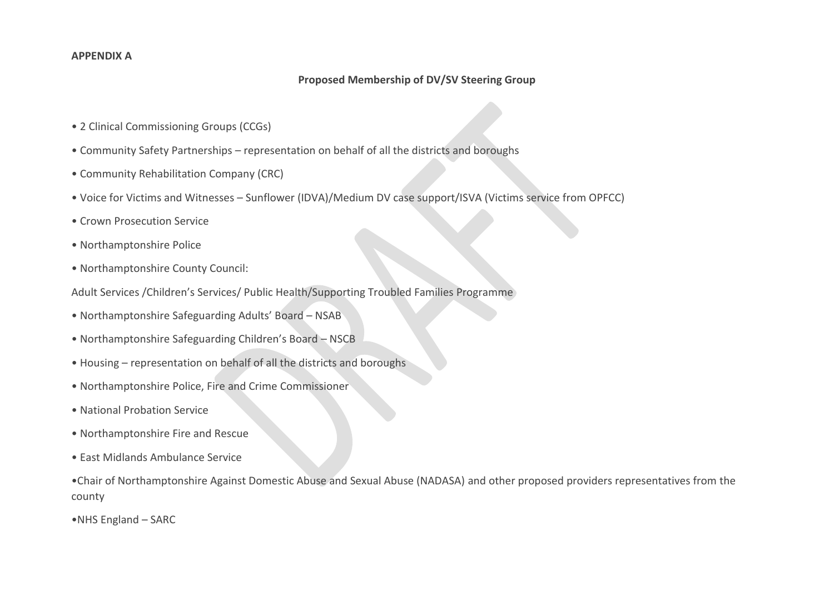#### **APPENDIX A**

#### **Proposed Membership of DV/SV Steering Group**

- 2 Clinical Commissioning Groups (CCGs)
- Community Safety Partnerships representation on behalf of all the districts and boroughs
- Community Rehabilitation Company (CRC)
- Voice for Victims and Witnesses Sunflower (IDVA)/Medium DV case support/ISVA (Victims service from OPFCC)
- Crown Prosecution Service
- Northamptonshire Police
- Northamptonshire County Council:
- Adult Services /Children's Services/ Public Health/Supporting Troubled Families Programme
- Northamptonshire Safeguarding Adults' Board NSAB
- Northamptonshire Safeguarding Children's Board NSCB
- Housing representation on behalf of all the districts and boroughs
- Northamptonshire Police, Fire and Crime Commissioner
- National Probation Service
- Northamptonshire Fire and Rescue
- East Midlands Ambulance Service

•Chair of Northamptonshire Against Domestic Abuse and Sexual Abuse (NADASA) and other proposed providers representatives from the county

•NHS England – SARC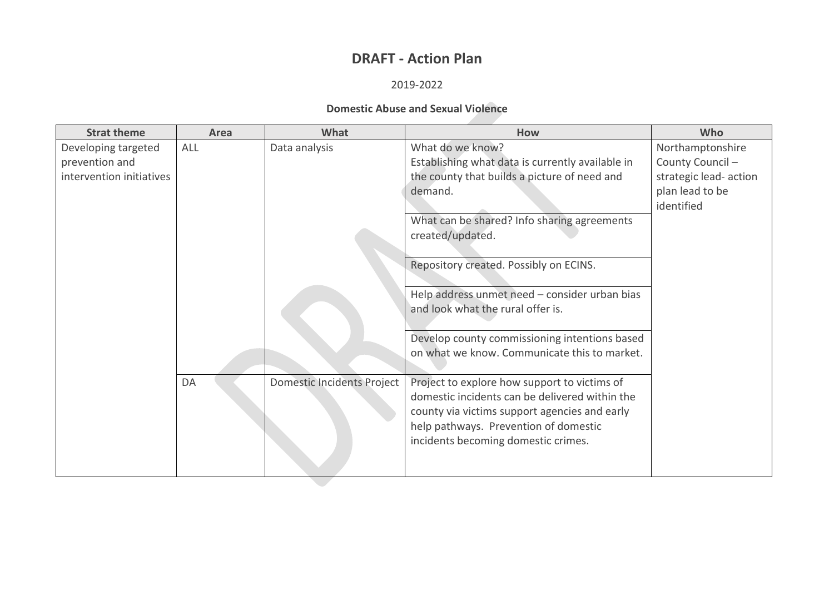### **DRAFT - Action Plan**

#### 2019-2022

#### **Domestic Abuse and Sexual Violence**

| <b>Strat theme</b>       | Area | What                              | How                                                                                                                                                                                                                             | Who                    |
|--------------------------|------|-----------------------------------|---------------------------------------------------------------------------------------------------------------------------------------------------------------------------------------------------------------------------------|------------------------|
| Developing targeted      | ALL  | Data analysis                     | What do we know?                                                                                                                                                                                                                | Northamptonshire       |
| prevention and           |      |                                   | Establishing what data is currently available in                                                                                                                                                                                | County Council-        |
| intervention initiatives |      |                                   | the county that builds a picture of need and                                                                                                                                                                                    | strategic lead- action |
|                          |      |                                   | demand.                                                                                                                                                                                                                         | plan lead to be        |
|                          |      |                                   |                                                                                                                                                                                                                                 | identified             |
|                          |      |                                   | What can be shared? Info sharing agreements                                                                                                                                                                                     |                        |
|                          |      |                                   | created/updated.                                                                                                                                                                                                                |                        |
|                          |      |                                   | Repository created. Possibly on ECINS.                                                                                                                                                                                          |                        |
|                          |      |                                   | Help address unmet need - consider urban bias<br>and look what the rural offer is.                                                                                                                                              |                        |
|                          |      |                                   | Develop county commissioning intentions based<br>on what we know. Communicate this to market.                                                                                                                                   |                        |
|                          | DA   | <b>Domestic Incidents Project</b> | Project to explore how support to victims of<br>domestic incidents can be delivered within the<br>county via victims support agencies and early<br>help pathways. Prevention of domestic<br>incidents becoming domestic crimes. |                        |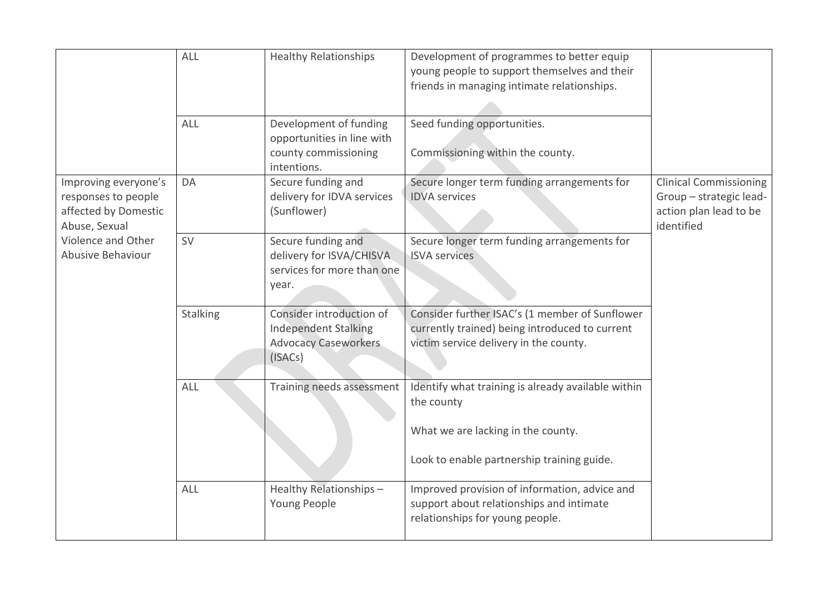|                                                                                      | ALL             | <b>Healthy Relationships</b>                                                                      | Development of programmes to better equip<br>young people to support themselves and their<br>friends in managing intimate relationships.             |                                                                                                  |
|--------------------------------------------------------------------------------------|-----------------|---------------------------------------------------------------------------------------------------|------------------------------------------------------------------------------------------------------------------------------------------------------|--------------------------------------------------------------------------------------------------|
|                                                                                      | ALL             | Development of funding<br>opportunities in line with<br>county commissioning<br>intentions.       | Seed funding opportunities.<br>Commissioning within the county.                                                                                      |                                                                                                  |
| Improving everyone's<br>responses to people<br>affected by Domestic<br>Abuse, Sexual | DA              | Secure funding and<br>delivery for IDVA services<br>(Sunflower)                                   | Secure longer term funding arrangements for<br><b>IDVA</b> services                                                                                  | <b>Clinical Commissioning</b><br>Group - strategic lead-<br>action plan lead to be<br>identified |
| Violence and Other<br>Abusive Behaviour                                              | SV              | Secure funding and<br>delivery for ISVA/CHISVA<br>services for more than one<br>year.             | Secure longer term funding arrangements for<br><b>ISVA</b> services                                                                                  |                                                                                                  |
|                                                                                      | <b>Stalking</b> | Consider introduction of<br><b>Independent Stalking</b><br><b>Advocacy Caseworkers</b><br>(ISACs) | Consider further ISAC's (1 member of Sunflower<br>currently trained) being introduced to current<br>victim service delivery in the county.           |                                                                                                  |
|                                                                                      | <b>ALL</b>      | Training needs assessment                                                                         | Identify what training is already available within<br>the county<br>What we are lacking in the county.<br>Look to enable partnership training guide. |                                                                                                  |
|                                                                                      | ALL             | Healthy Relationships-<br>Young People                                                            | Improved provision of information, advice and<br>support about relationships and intimate<br>relationships for young people.                         |                                                                                                  |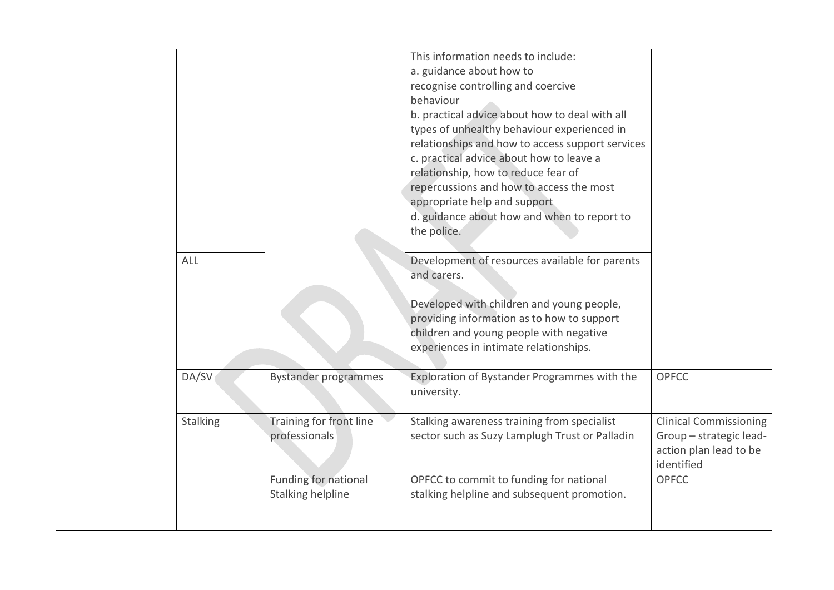| ALL      |                                           | This information needs to include:<br>a. guidance about how to<br>recognise controlling and coercive<br>behaviour<br>b. practical advice about how to deal with all<br>types of unhealthy behaviour experienced in<br>relationships and how to access support services<br>c. practical advice about how to leave a<br>relationship, how to reduce fear of<br>repercussions and how to access the most<br>appropriate help and support<br>d. guidance about how and when to report to<br>the police.<br>Development of resources available for parents |                                                                                                  |
|----------|-------------------------------------------|-------------------------------------------------------------------------------------------------------------------------------------------------------------------------------------------------------------------------------------------------------------------------------------------------------------------------------------------------------------------------------------------------------------------------------------------------------------------------------------------------------------------------------------------------------|--------------------------------------------------------------------------------------------------|
|          |                                           | and carers.<br>Developed with children and young people,<br>providing information as to how to support<br>children and young people with negative<br>experiences in intimate relationships.                                                                                                                                                                                                                                                                                                                                                           |                                                                                                  |
| DA/SV    | <b>Bystander programmes</b>               | Exploration of Bystander Programmes with the<br>university.                                                                                                                                                                                                                                                                                                                                                                                                                                                                                           | <b>OPFCC</b>                                                                                     |
| Stalking | Training for front line<br>professionals  | Stalking awareness training from specialist<br>sector such as Suzy Lamplugh Trust or Palladin                                                                                                                                                                                                                                                                                                                                                                                                                                                         | <b>Clinical Commissioning</b><br>Group - strategic lead-<br>action plan lead to be<br>identified |
|          | Funding for national<br>Stalking helpline | OPFCC to commit to funding for national<br>stalking helpline and subsequent promotion.                                                                                                                                                                                                                                                                                                                                                                                                                                                                | <b>OPFCC</b>                                                                                     |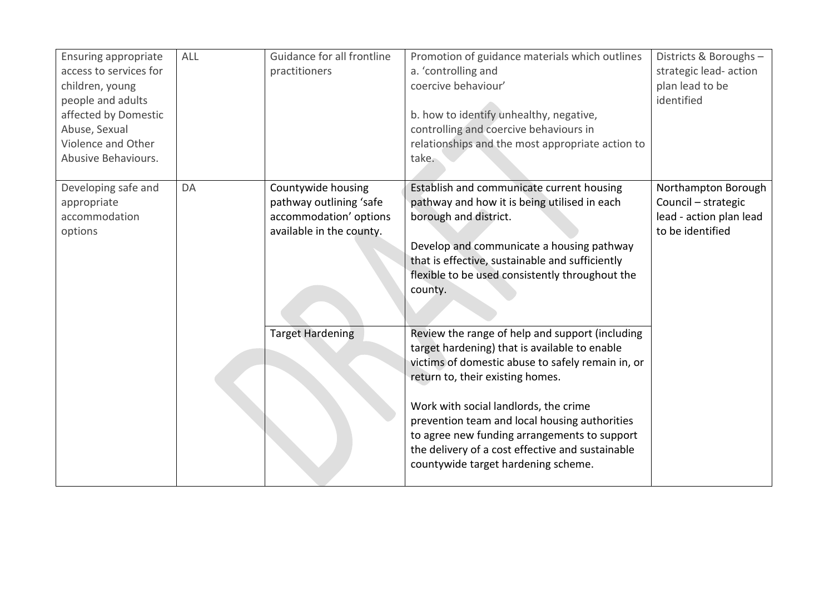| <b>Ensuring appropriate</b><br>access to services for<br>children, young<br>people and adults<br>affected by Domestic<br>Abuse, Sexual<br>Violence and Other<br>Abusive Behaviours. | ALL | Guidance for all frontline<br>practitioners                                                         | Promotion of guidance materials which outlines<br>a. 'controlling and<br>coercive behaviour'<br>b. how to identify unhealthy, negative,<br>controlling and coercive behaviours in<br>relationships and the most appropriate action to<br>take.                                                                                                                                                                                 | Districts & Boroughs -<br>strategic lead- action<br>plan lead to be<br>identified         |
|-------------------------------------------------------------------------------------------------------------------------------------------------------------------------------------|-----|-----------------------------------------------------------------------------------------------------|--------------------------------------------------------------------------------------------------------------------------------------------------------------------------------------------------------------------------------------------------------------------------------------------------------------------------------------------------------------------------------------------------------------------------------|-------------------------------------------------------------------------------------------|
| Developing safe and<br>appropriate<br>accommodation<br>options                                                                                                                      | DA  | Countywide housing<br>pathway outlining 'safe<br>accommodation' options<br>available in the county. | Establish and communicate current housing<br>pathway and how it is being utilised in each<br>borough and district.<br>Develop and communicate a housing pathway<br>that is effective, sustainable and sufficiently<br>flexible to be used consistently throughout the<br>county.                                                                                                                                               | Northampton Borough<br>Council - strategic<br>lead - action plan lead<br>to be identified |
|                                                                                                                                                                                     |     | <b>Target Hardening</b>                                                                             | Review the range of help and support (including<br>target hardening) that is available to enable<br>victims of domestic abuse to safely remain in, or<br>return to, their existing homes.<br>Work with social landlords, the crime<br>prevention team and local housing authorities<br>to agree new funding arrangements to support<br>the delivery of a cost effective and sustainable<br>countywide target hardening scheme. |                                                                                           |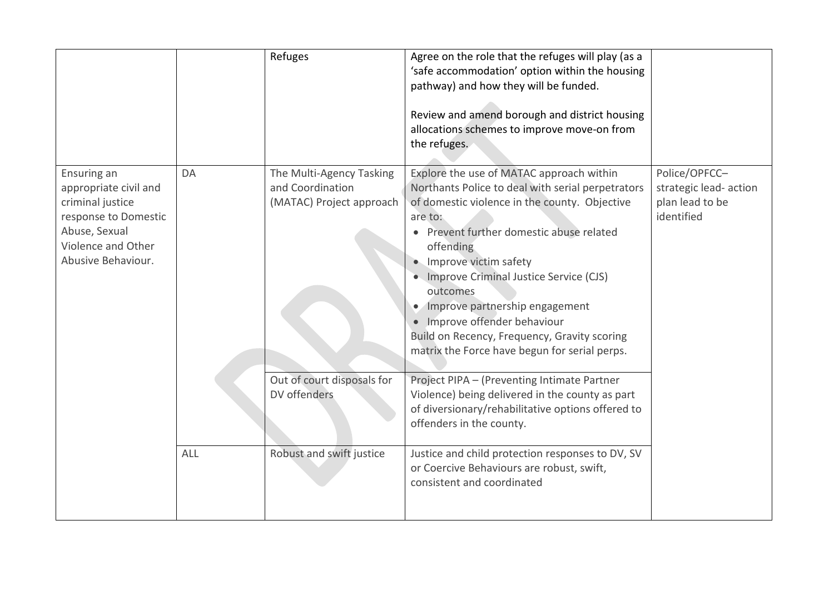|                                                                                                                                               |     | Refuges                                                                  | Agree on the role that the refuges will play (as a<br>'safe accommodation' option within the housing<br>pathway) and how they will be funded.<br>Review and amend borough and district housing<br>allocations schemes to improve move-on from<br>the refuges.                                                                                                                                                                                                                   |                                                                          |
|-----------------------------------------------------------------------------------------------------------------------------------------------|-----|--------------------------------------------------------------------------|---------------------------------------------------------------------------------------------------------------------------------------------------------------------------------------------------------------------------------------------------------------------------------------------------------------------------------------------------------------------------------------------------------------------------------------------------------------------------------|--------------------------------------------------------------------------|
| Ensuring an<br>appropriate civil and<br>criminal justice<br>response to Domestic<br>Abuse, Sexual<br>Violence and Other<br>Abusive Behaviour. | DA  | The Multi-Agency Tasking<br>and Coordination<br>(MATAC) Project approach | Explore the use of MATAC approach within<br>Northants Police to deal with serial perpetrators<br>of domestic violence in the county. Objective<br>are to:<br>Prevent further domestic abuse related<br>offending<br>Improve victim safety<br>• Improve Criminal Justice Service (CJS)<br>outcomes<br>Improve partnership engagement<br>Improve offender behaviour<br>$\bullet$<br>Build on Recency, Frequency, Gravity scoring<br>matrix the Force have begun for serial perps. | Police/OPFCC-<br>strategic lead- action<br>plan lead to be<br>identified |
|                                                                                                                                               |     | Out of court disposals for<br>DV offenders                               | Project PIPA - (Preventing Intimate Partner<br>Violence) being delivered in the county as part<br>of diversionary/rehabilitative options offered to<br>offenders in the county.                                                                                                                                                                                                                                                                                                 |                                                                          |
|                                                                                                                                               | ALL | Robust and swift justice                                                 | Justice and child protection responses to DV, SV<br>or Coercive Behaviours are robust, swift,<br>consistent and coordinated                                                                                                                                                                                                                                                                                                                                                     |                                                                          |